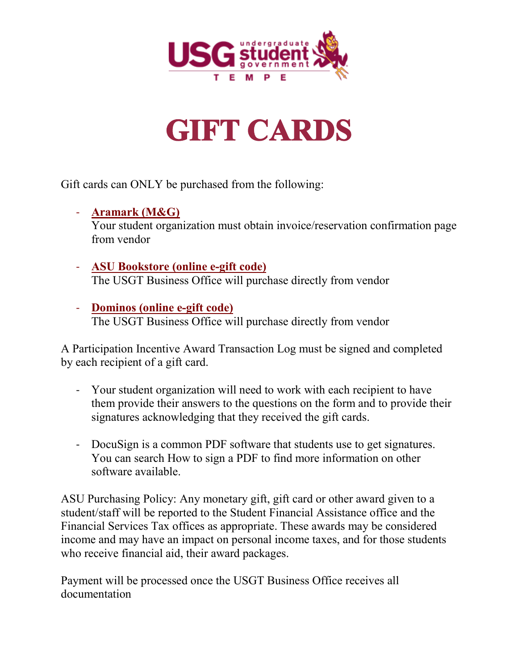

## **GIFT CARDS**

Gift cards can ONLY be purchased from the following:

- **Aramark (M&G)** Your student organization must obtain invoice/reservation confirmation page from vendor
- **ASU Bookstore (online e-gift code)** The USGT Business Office will purchase directly from vendor
- **Dominos (online e-gift code)** The USGT Business Office will purchase directly from vendor

A Participation Incentive Award Transaction Log must be signed and completed by each recipient of a gift card.

- Your student organization will need to work with each recipient to have them provide their answers to the questions on the form and to provide their signatures acknowledging that they received the gift cards.
- DocuSign is a common PDF software that students use to get signatures. You can search How to sign a PDF to find more information on other software available.

ASU Purchasing Policy: Any monetary gift, gift card or other award given to a student/staff will be reported to the Student Financial Assistance office and the Financial Services Tax offices as appropriate. These awards may be considered income and may have an impact on personal income taxes, and for those students who receive financial aid, their award packages.

Payment will be processed once the USGT Business Office receives all documentation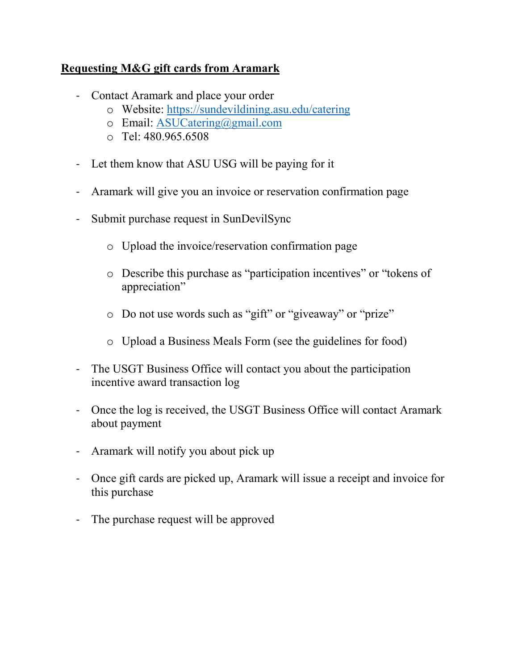## **Requesting M&G gift cards from Aramark**

- Contact Aramark and place your order
	- o Website:<https://sundevildining.asu.edu/catering>
	- o Email: [ASUCatering@gmail.com](mailto:ASUCatering@gmail.com)
	- $\circ$  Tel: 480.965.6508
- Let them know that ASU USG will be paying for it
- Aramark will give you an invoice or reservation confirmation page
- Submit purchase request in SunDevilSync
	- o Upload the invoice/reservation confirmation page
	- o Describe this purchase as "participation incentives" or "tokens of appreciation"
	- o Do not use words such as "gift" or "giveaway" or "prize"
	- o Upload a Business Meals Form (see the guidelines for food)
- The USGT Business Office will contact you about the participation incentive award transaction log
- Once the log is received, the USGT Business Office will contact Aramark about payment
- Aramark will notify you about pick up
- Once gift cards are picked up, Aramark will issue a receipt and invoice for this purchase
- The purchase request will be approved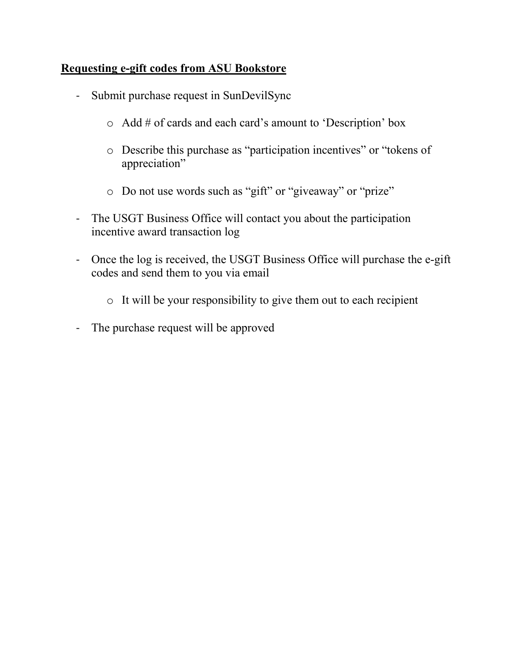## **Requesting e-gift codes from ASU Bookstore**

- Submit purchase request in SunDevilSync
	- o Add # of cards and each card's amount to 'Description' box
	- o Describe this purchase as "participation incentives" or "tokens of appreciation"
	- o Do not use words such as "gift" or "giveaway" or "prize"
- The USGT Business Office will contact you about the participation incentive award transaction log
- Once the log is received, the USGT Business Office will purchase the e-gift codes and send them to you via email
	- o It will be your responsibility to give them out to each recipient
- The purchase request will be approved